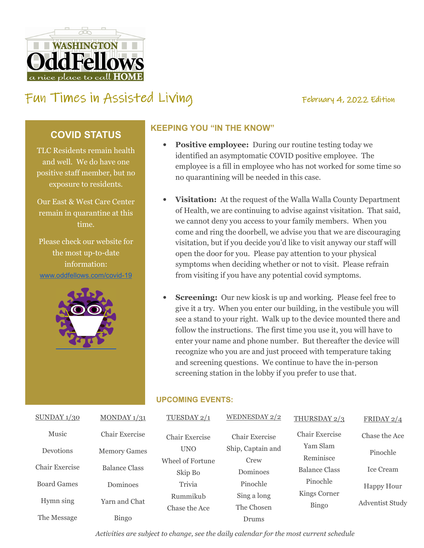# $\overline{\mathrm{oc}}$ **WASHINGTON** ice place to call

## FUN TIMES IN Assisted Living Tumes Tebruary 4, 2022 Edition

## **COVID STATUS**

TLC Residents remain health and well. We do have one positive staff member, but no exposure to residents.

Our East & West Care Center remain in quarantine at this time.

Please check our website for the most up-to-date information: www.oddfellows.com/covid-19



### **KEEPING YOU "IN THE KNOW"**

- **Positive employee:** During our routine testing today we identified an asymptomatic COVID positive employee. The employee is a fill in employee who has not worked for some time so no quarantining will be needed in this case.
- **Visitation:** At the request of the Walla Walla County Department of Health, we are continuing to advise against visitation. That said, we cannot deny you access to your family members. When you come and ring the doorbell, we advise you that we are discouraging visitation, but if you decide you'd like to visit anyway our staff will open the door for you. Please pay attention to your physical symptoms when deciding whether or not to visit. Please refrain from visiting if you have any potential covid symptoms.
- **Screening:** Our new kiosk is up and working. Please feel free to give it a try. When you enter our building, in the vestibule you will see a stand to your right. Walk up to the device mounted there and follow the instructions. The first time you use it, you will have to enter your name and phone number. But thereafter the device will recognize who you are and just proceed with temperature taking and screening questions. We continue to have the in-person screening station in the lobby if you prefer to use that.

#### **UPCOMING EVENTS:**

| SUNDAY1/30     | MONDAY $1/31$       | TUESDAY 2/1      | WEDNESDAY 2/2     | THURSDAY 2/3        | FRIDAY $2/4$           |
|----------------|---------------------|------------------|-------------------|---------------------|------------------------|
| Music          | Chair Exercise      | Chair Exercise   | Chair Exercise    | Chair Exercise      | Chase the Ace          |
| Devotions      | <b>Memory Games</b> | <b>UNO</b>       | Ship, Captain and | Yam Slam            | Pinochle               |
|                |                     | Wheel of Fortune | Crew              | Reminisce           |                        |
| Chair Exercise | Balance Class       | Skip Bo          | Dominoes          | Balance Class       | <b>Ice Cream</b>       |
| Board Games    | Dominoes            | Trivia           | Pinochle          | Pinochle            | <b>Happy Hour</b>      |
| Hymn sing      | Yarn and Chat       | Rummikub         | Sing a long       | <b>Kings Corner</b> | <b>Adventist Study</b> |
|                |                     | Chase the Ace    | The Chosen        | <b>Bingo</b>        |                        |
| The Message    | <b>Bingo</b>        |                  | Drums             |                     |                        |

Activities are subject to change, see the daily calendar for the most current schedule